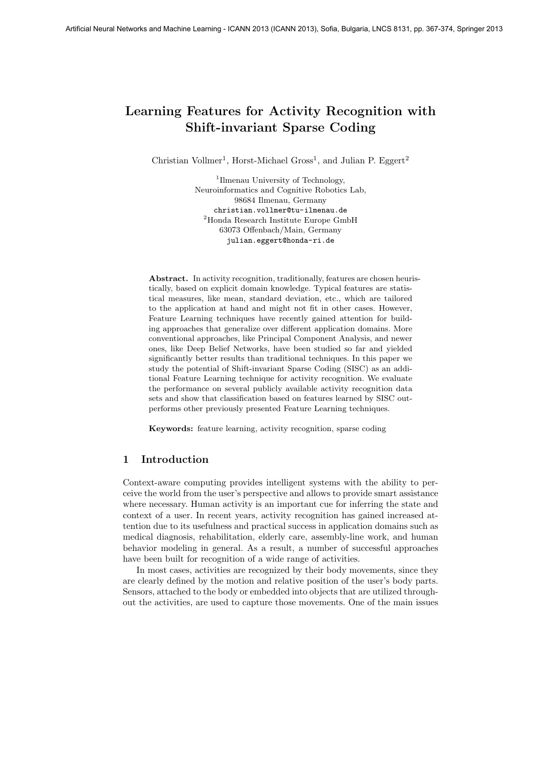# Learning Features for Activity Recognition with Shift-invariant Sparse Coding

Christian Vollmer<sup>1</sup>, Horst-Michael Gross<sup>1</sup>, and Julian P. Eggert<sup>2</sup>

1 Ilmenau University of Technology, Neuroinformatics and Cognitive Robotics Lab, 98684 Ilmenau, Germany christian.vollmer@tu-ilmenau.de <sup>2</sup>Honda Research Institute Europe GmbH 63073 Offenbach/Main, Germany julian.eggert@honda-ri.de

Abstract. In activity recognition, traditionally, features are chosen heuristically, based on explicit domain knowledge. Typical features are statistical measures, like mean, standard deviation, etc., which are tailored to the application at hand and might not fit in other cases. However, Feature Learning techniques have recently gained attention for building approaches that generalize over different application domains. More conventional approaches, like Principal Component Analysis, and newer ones, like Deep Belief Networks, have been studied so far and yielded significantly better results than traditional techniques. In this paper we study the potential of Shift-invariant Sparse Coding (SISC) as an additional Feature Learning technique for activity recognition. We evaluate the performance on several publicly available activity recognition data sets and show that classification based on features learned by SISC outperforms other previously presented Feature Learning techniques.

Keywords: feature learning, activity recognition, sparse coding

# 1 Introduction

Context-aware computing provides intelligent systems with the ability to perceive the world from the user's perspective and allows to provide smart assistance where necessary. Human activity is an important cue for inferring the state and context of a user. In recent years, activity recognition has gained increased attention due to its usefulness and practical success in application domains such as medical diagnosis, rehabilitation, elderly care, assembly-line work, and human behavior modeling in general. As a result, a number of successful approaches have been built for recognition of a wide range of activities.

In most cases, activities are recognized by their body movements, since they are clearly defined by the motion and relative position of the user's body parts. Sensors, attached to the body or embedded into objects that are utilized throughout the activities, are used to capture those movements. One of the main issues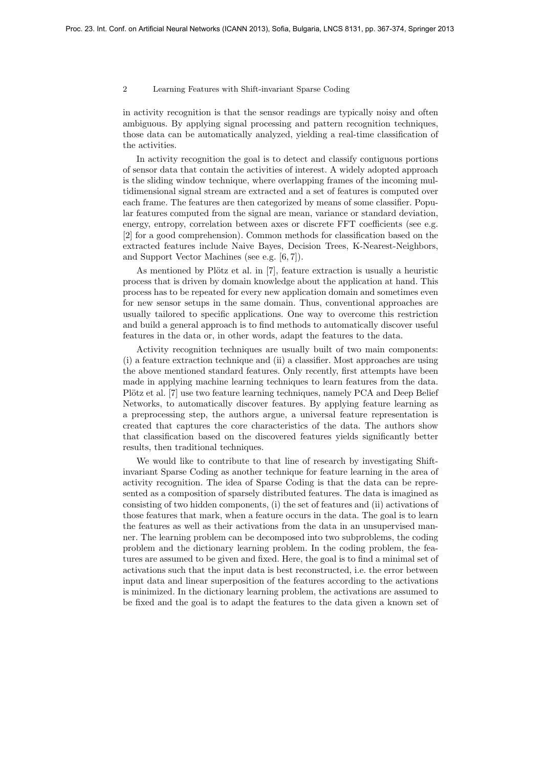in activity recognition is that the sensor readings are typically noisy and often ambiguous. By applying signal processing and pattern recognition techniques, those data can be automatically analyzed, yielding a real-time classification of the activities.

In activity recognition the goal is to detect and classify contiguous portions of sensor data that contain the activities of interest. A widely adopted approach is the sliding window technique, where overlapping frames of the incoming multidimensional signal stream are extracted and a set of features is computed over each frame. The features are then categorized by means of some classifier. Popular features computed from the signal are mean, variance or standard deviation, energy, entropy, correlation between axes or discrete FFT coefficients (see e.g. [2] for a good comprehension). Common methods for classification based on the extracted features include Naive Bayes, Decision Trees, K-Nearest-Neighbors, and Support Vector Machines (see e.g. [6, 7]).

As mentioned by Plötz et al. in  $[7]$ , feature extraction is usually a heuristic process that is driven by domain knowledge about the application at hand. This process has to be repeated for every new application domain and sometimes even for new sensor setups in the same domain. Thus, conventional approaches are usually tailored to specific applications. One way to overcome this restriction and build a general approach is to find methods to automatically discover useful features in the data or, in other words, adapt the features to the data.

Activity recognition techniques are usually built of two main components: (i) a feature extraction technique and (ii) a classifier. Most approaches are using the above mentioned standard features. Only recently, first attempts have been made in applying machine learning techniques to learn features from the data. Plötz et al. [7] use two feature learning techniques, namely PCA and Deep Belief Networks, to automatically discover features. By applying feature learning as a preprocessing step, the authors argue, a universal feature representation is created that captures the core characteristics of the data. The authors show that classification based on the discovered features yields significantly better results, then traditional techniques.

We would like to contribute to that line of research by investigating Shiftinvariant Sparse Coding as another technique for feature learning in the area of activity recognition. The idea of Sparse Coding is that the data can be represented as a composition of sparsely distributed features. The data is imagined as consisting of two hidden components, (i) the set of features and (ii) activations of those features that mark, when a feature occurs in the data. The goal is to learn the features as well as their activations from the data in an unsupervised manner. The learning problem can be decomposed into two subproblems, the coding problem and the dictionary learning problem. In the coding problem, the features are assumed to be given and fixed. Here, the goal is to find a minimal set of activations such that the input data is best reconstructed, i.e. the error between input data and linear superposition of the features according to the activations is minimized. In the dictionary learning problem, the activations are assumed to be fixed and the goal is to adapt the features to the data given a known set of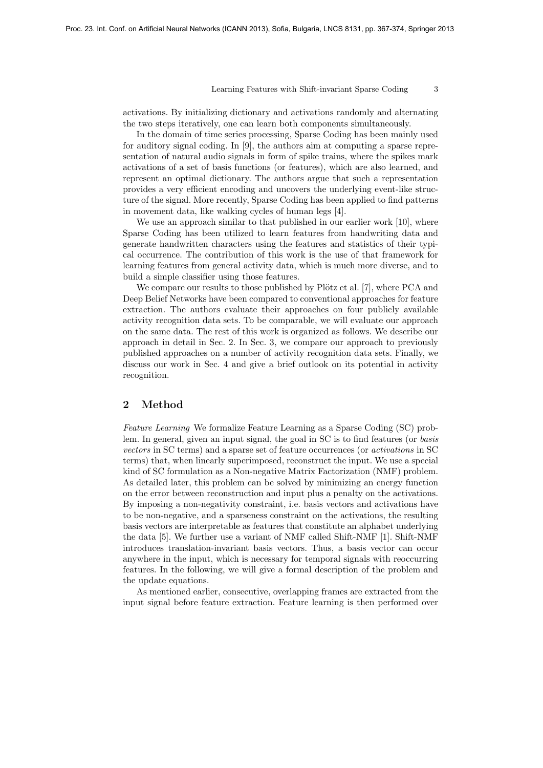activations. By initializing dictionary and activations randomly and alternating the two steps iteratively, one can learn both components simultaneously.

In the domain of time series processing, Sparse Coding has been mainly used for auditory signal coding. In [9], the authors aim at computing a sparse representation of natural audio signals in form of spike trains, where the spikes mark activations of a set of basis functions (or features), which are also learned, and represent an optimal dictionary. The authors argue that such a representation provides a very efficient encoding and uncovers the underlying event-like structure of the signal. More recently, Sparse Coding has been applied to find patterns in movement data, like walking cycles of human legs [4].

We use an approach similar to that published in our earlier work [10], where Sparse Coding has been utilized to learn features from handwriting data and generate handwritten characters using the features and statistics of their typical occurrence. The contribution of this work is the use of that framework for learning features from general activity data, which is much more diverse, and to build a simple classifier using those features.

We compare our results to those published by Plötz et al. [7], where PCA and Deep Belief Networks have been compared to conventional approaches for feature extraction. The authors evaluate their approaches on four publicly available activity recognition data sets. To be comparable, we will evaluate our approach on the same data. The rest of this work is organized as follows. We describe our approach in detail in Sec. 2. In Sec. 3, we compare our approach to previously published approaches on a number of activity recognition data sets. Finally, we discuss our work in Sec. 4 and give a brief outlook on its potential in activity recognition.

## 2 Method

Feature Learning We formalize Feature Learning as a Sparse Coding (SC) problem. In general, given an input signal, the goal in SC is to find features (or basis vectors in SC terms) and a sparse set of feature occurrences (or activations in SC terms) that, when linearly superimposed, reconstruct the input. We use a special kind of SC formulation as a Non-negative Matrix Factorization (NMF) problem. As detailed later, this problem can be solved by minimizing an energy function on the error between reconstruction and input plus a penalty on the activations. By imposing a non-negativity constraint, i.e. basis vectors and activations have to be non-negative, and a sparseness constraint on the activations, the resulting basis vectors are interpretable as features that constitute an alphabet underlying the data [5]. We further use a variant of NMF called Shift-NMF [1]. Shift-NMF introduces translation-invariant basis vectors. Thus, a basis vector can occur anywhere in the input, which is necessary for temporal signals with reoccurring features. In the following, we will give a formal description of the problem and the update equations.

As mentioned earlier, consecutive, overlapping frames are extracted from the input signal before feature extraction. Feature learning is then performed over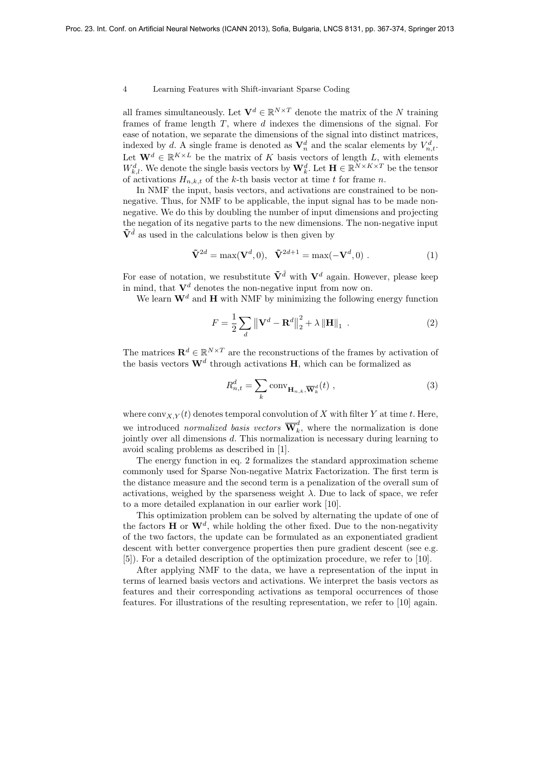all frames simultaneously. Let  $\mathbf{V}^d \in \mathbb{R}^{N \times T}$  denote the matrix of the N training frames of frame length  $T$ , where  $d$  indexes the dimensions of the signal. For ease of notation, we separate the dimensions of the signal into distinct matrices, indexed by d. A single frame is denoted as  $\mathbf{V}_n^d$  and the scalar elements by  $V_{n,t}^d$ . Let  $\mathbf{W}^d \in \mathbb{R}^{K \times L}$  be the matrix of K basis vectors of length L, with elements  $W_{k,l}^d$ . We denote the single basis vectors by  $\mathbf{W}_k^d$ . Let  $\mathbf{H} \in \mathbb{R}^{N \times K \times T}$  be the tensor of activations  $H_{n,k,t}$  of the k-th basis vector at time t for frame n.

In NMF the input, basis vectors, and activations are constrained to be nonnegative. Thus, for NMF to be applicable, the input signal has to be made nonnegative. We do this by doubling the number of input dimensions and projecting the negation of its negative parts to the new dimensions. The non-negative input  $\tilde{\mathbf{V}}^{\tilde{d}}$  as used in the calculations below is then given by

$$
\tilde{\mathbf{V}}^{2d} = \max(\mathbf{V}^d, 0), \quad \tilde{\mathbf{V}}^{2d+1} = \max(-\mathbf{V}^d, 0) . \tag{1}
$$

For ease of notation, we resubstitute  $\tilde{\mathbf{V}}^{\tilde{d}}$  with  $\mathbf{V}^{d}$  again. However, please keep in mind, that  $V^d$  denotes the non-negative input from now on.

We learn  $\mathbf{W}^{d}$  and **H** with NMF by minimizing the following energy function

$$
F = \frac{1}{2} \sum_{d} \left\| \mathbf{V}^{d} - \mathbf{R}^{d} \right\|_{2}^{2} + \lambda \left\| \mathbf{H} \right\|_{1} . \tag{2}
$$

The matrices  $\mathbf{R}^d \in \mathbb{R}^{N \times T}$  are the reconstructions of the frames by activation of the basis vectors  $\mathbf{W}^{d}$  through activations **H**, which can be formalized as

$$
R_{n,t}^d = \sum_k \text{conv}_{\mathbf{H}_{n,k}, \overline{\mathbf{W}}_k^d}(t) ,
$$
 (3)

where  $conv_{X,Y}(t)$  denotes temporal convolution of X with filter Y at time t. Here, we introduced normalized basis vectors  $\overline{\mathbf{W}}_k^d$  $\mu_k^{\mu}$ , where the normalization is done jointly over all dimensions d. This normalization is necessary during learning to avoid scaling problems as described in [1].

The energy function in eq. 2 formalizes the standard approximation scheme commonly used for Sparse Non-negative Matrix Factorization. The first term is the distance measure and the second term is a penalization of the overall sum of activations, weighed by the sparseness weight  $\lambda$ . Due to lack of space, we refer to a more detailed explanation in our earlier work [10].

This optimization problem can be solved by alternating the update of one of the factors **H** or  $\mathbf{W}^{d}$ , while holding the other fixed. Due to the non-negativity of the two factors, the update can be formulated as an exponentiated gradient descent with better convergence properties then pure gradient descent (see e.g. [5]). For a detailed description of the optimization procedure, we refer to [10].

After applying NMF to the data, we have a representation of the input in terms of learned basis vectors and activations. We interpret the basis vectors as features and their corresponding activations as temporal occurrences of those features. For illustrations of the resulting representation, we refer to [10] again.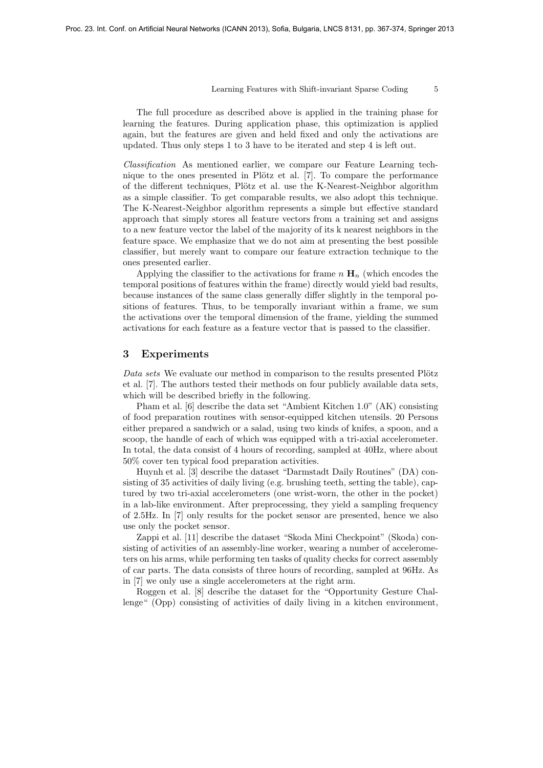The full procedure as described above is applied in the training phase for learning the features. During application phase, this optimization is applied again, but the features are given and held fixed and only the activations are updated. Thus only steps 1 to 3 have to be iterated and step 4 is left out.

Classification As mentioned earlier, we compare our Feature Learning technique to the ones presented in Plötz et al.  $[7]$ . To compare the performance of the different techniques, Plötz et al. use the K-Nearest-Neighbor algorithm as a simple classifier. To get comparable results, we also adopt this technique. The K-Nearest-Neighbor algorithm represents a simple but effective standard approach that simply stores all feature vectors from a training set and assigns to a new feature vector the label of the majority of its k nearest neighbors in the feature space. We emphasize that we do not aim at presenting the best possible classifier, but merely want to compare our feature extraction technique to the ones presented earlier.

Applying the classifier to the activations for frame  $n \mathbf{H}_n$  (which encodes the temporal positions of features within the frame) directly would yield bad results, because instances of the same class generally differ slightly in the temporal positions of features. Thus, to be temporally invariant within a frame, we sum the activations over the temporal dimension of the frame, yielding the summed activations for each feature as a feature vector that is passed to the classifier.

# 3 Experiments

Data sets We evaluate our method in comparison to the results presented  $Plötz$ et al. [7]. The authors tested their methods on four publicly available data sets, which will be described briefly in the following.

Pham et al. [6] describe the data set "Ambient Kitchen 1.0" (AK) consisting of food preparation routines with sensor-equipped kitchen utensils. 20 Persons either prepared a sandwich or a salad, using two kinds of knifes, a spoon, and a scoop, the handle of each of which was equipped with a tri-axial accelerometer. In total, the data consist of 4 hours of recording, sampled at 40Hz, where about 50% cover ten typical food preparation activities.

Huynh et al. [3] describe the dataset "Darmstadt Daily Routines" (DA) consisting of 35 activities of daily living (e.g. brushing teeth, setting the table), captured by two tri-axial accelerometers (one wrist-worn, the other in the pocket) in a lab-like environment. After preprocessing, they yield a sampling frequency of 2.5Hz. In [7] only results for the pocket sensor are presented, hence we also use only the pocket sensor.

Zappi et al. [11] describe the dataset "Skoda Mini Checkpoint" (Skoda) consisting of activities of an assembly-line worker, wearing a number of accelerometers on his arms, while performing ten tasks of quality checks for correct assembly of car parts. The data consists of three hours of recording, sampled at 96Hz. As in [7] we only use a single accelerometers at the right arm.

Roggen et al. [8] describe the dataset for the "Opportunity Gesture Challenge" (Opp) consisting of activities of daily living in a kitchen environment,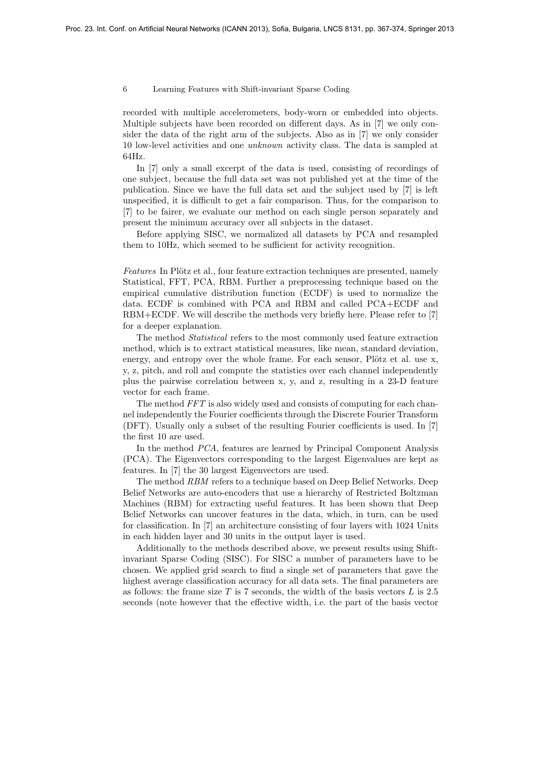recorded with multiple accelerometers, body-worn or embedded into objects. Multiple subjects have been recorded on different days. As in [7] we only consider the data of the right arm of the subjects. Also as in [7] we only consider 10 low-level activities and one unknown activity class. The data is sampled at 64Hz.

In [7] only a small excerpt of the data is used, consisting of recordings of one subject, because the full data set was not published yet at the time of the publication. Since we have the full data set and the subject used by [7] is left unspecified, it is difficult to get a fair comparison. Thus, for the comparison to [7] to be fairer, we evaluate our method on each single person separately and present the minimum accuracy over all subjects in the dataset.

Before applying SISC, we normalized all datasets by PCA and resampled them to 10Hz, which seemed to be sufficient for activity recognition.

Features In Plötz et al., four feature extraction techniques are presented, namely Statistical, FFT, PCA, RBM. Further a preprocessing technique based on the empirical cumulative distribution function (ECDF) is used to normalize the data. ECDF is combined with PCA and RBM and called PCA+ECDF and RBM+ECDF. We will describe the methods very briefly here. Please refer to [7] for a deeper explanation.

The method Statistical refers to the most commonly used feature extraction method, which is to extract statistical measures, like mean, standard deviation, energy, and entropy over the whole frame. For each sensor, Plötz et al. use x, y, z, pitch, and roll and compute the statistics over each channel independently plus the pairwise correlation between x, y, and z, resulting in a 23-D feature vector for each frame.

The method FFT is also widely used and consists of computing for each channel independently the Fourier coefficients through the Discrete Fourier Transform (DFT). Usually only a subset of the resulting Fourier coefficients is used. In [7] the first 10 are used.

In the method PCA, features are learned by Principal Component Analysis (PCA). The Eigenvectors corresponding to the largest Eigenvalues are kept as features. In [7] the 30 largest Eigenvectors are used.

The method RBM refers to a technique based on Deep Belief Networks. Deep Belief Networks are auto-encoders that use a hierarchy of Restricted Boltzman Machines (RBM) for extracting useful features. It has been shown that Deep Belief Networks can uncover features in the data, which, in turn, can be used for classification. In [7] an architecture consisting of four layers with 1024 Units in each hidden layer and 30 units in the output layer is used.

Additionally to the methods described above, we present results using Shiftinvariant Sparse Coding (SISC). For SISC a number of parameters have to be chosen. We applied grid search to find a single set of parameters that gave the highest average classification accuracy for all data sets. The final parameters are as follows: the frame size  $T$  is 7 seconds, the width of the basis vectors  $L$  is 2.5 seconds (note however that the effective width, i.e. the part of the basis vector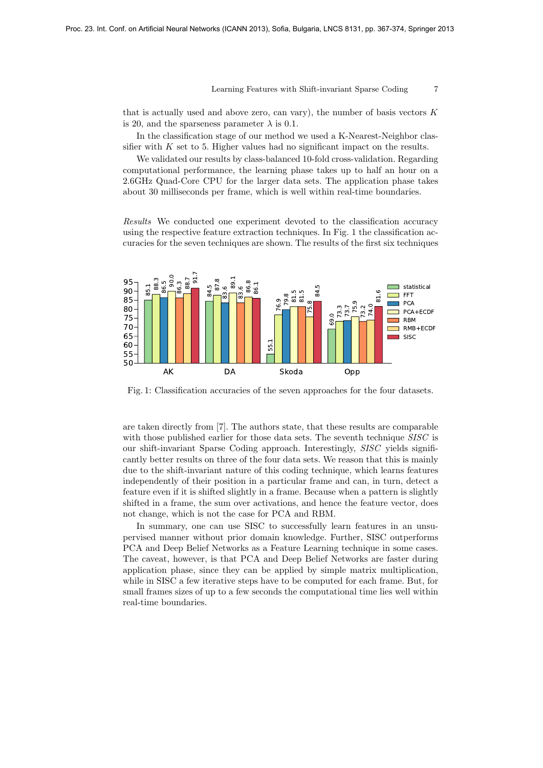that is actually used and above zero, can vary), the number of basis vectors  $K$ is 20, and the sparseness parameter  $\lambda$  is 0.1.

In the classification stage of our method we used a K-Nearest-Neighbor classifier with  $K$  set to 5. Higher values had no significant impact on the results.

We validated our results by class-balanced 10-fold cross-validation. Regarding computational performance, the learning phase takes up to half an hour on a 2.6GHz Quad-Core CPU for the larger data sets. The application phase takes about 30 milliseconds per frame, which is well within real-time boundaries.

Results We conducted one experiment devoted to the classification accuracy using the respective feature extraction techniques. In Fig. 1 the classification accuracies for the seven techniques are shown. The results of the first six techniques



Fig. 1: Classification accuracies of the seven approaches for the four datasets.

are taken directly from [7]. The authors state, that these results are comparable with those published earlier for those data sets. The seventh technique SISC is our shift-invariant Sparse Coding approach. Interestingly, SISC yields significantly better results on three of the four data sets. We reason that this is mainly due to the shift-invariant nature of this coding technique, which learns features independently of their position in a particular frame and can, in turn, detect a feature even if it is shifted slightly in a frame. Because when a pattern is slightly shifted in a frame, the sum over activations, and hence the feature vector, does not change, which is not the case for PCA and RBM.

In summary, one can use SISC to successfully learn features in an unsupervised manner without prior domain knowledge. Further, SISC outperforms PCA and Deep Belief Networks as a Feature Learning technique in some cases. The caveat, however, is that PCA and Deep Belief Networks are faster during application phase, since they can be applied by simple matrix multiplication, while in SISC a few iterative steps have to be computed for each frame. But, for small frames sizes of up to a few seconds the computational time lies well within real-time boundaries.